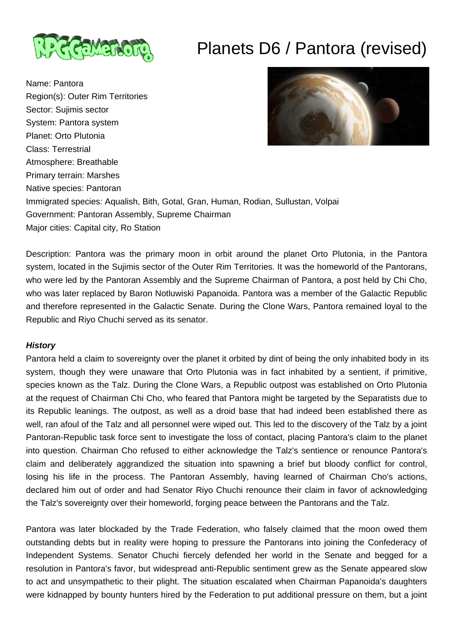

# Planets D6 / Pantora (revised)

Name: Pantora Region(s): Outer Rim Territories Sector: Sujimis sector System: Pantora system Planet: Orto Plutonia Class: Terrestrial Atmosphere: Breathable Primary terrain: Marshes Native species: Pantoran Immigrated species: Aqualish, Bith, Gotal, Gran, Human, Rodian, Sullustan, Volpai Government: Pantoran Assembly, Supreme Chairman Major cities: Capital city, Ro Station



Description: Pantora was the primary moon in orbit around the planet Orto Plutonia, in the Pantora system, located in the Sujimis sector of the Outer Rim Territories. It was the homeworld of the Pantorans, who were led by the Pantoran Assembly and the Supreme Chairman of Pantora, a post held by Chi Cho, who was later replaced by Baron Notluwiski Papanoida. Pantora was a member of the Galactic Republic and therefore represented in the Galactic Senate. During the Clone Wars, Pantora remained loyal to the Republic and Riyo Chuchi served as its senator.

## **History**

Pantora held a claim to sovereignty over the planet it orbited by dint of being the only inhabited body in its system, though they were unaware that Orto Plutonia was in fact inhabited by a sentient, if primitive, species known as the Talz. During the Clone Wars, a Republic outpost was established on Orto Plutonia at the request of Chairman Chi Cho, who feared that Pantora might be targeted by the Separatists due to its Republic leanings. The outpost, as well as a droid base that had indeed been established there as well, ran afoul of the Talz and all personnel were wiped out. This led to the discovery of the Talz by a joint Pantoran-Republic task force sent to investigate the loss of contact, placing Pantora's claim to the planet into question. Chairman Cho refused to either acknowledge the Talz's sentience or renounce Pantora's claim and deliberately aggrandized the situation into spawning a brief but bloody conflict for control, losing his life in the process. The Pantoran Assembly, having learned of Chairman Cho's actions, declared him out of order and had Senator Riyo Chuchi renounce their claim in favor of acknowledging the Talz's sovereignty over their homeworld, forging peace between the Pantorans and the Talz.

Pantora was later blockaded by the Trade Federation, who falsely claimed that the moon owed them outstanding debts but in reality were hoping to pressure the Pantorans into joining the Confederacy of Independent Systems. Senator Chuchi fiercely defended her world in the Senate and begged for a resolution in Pantora's favor, but widespread anti-Republic sentiment grew as the Senate appeared slow to act and unsympathetic to their plight. The situation escalated when Chairman Papanoida's daughters were kidnapped by bounty hunters hired by the Federation to put additional pressure on them, but a joint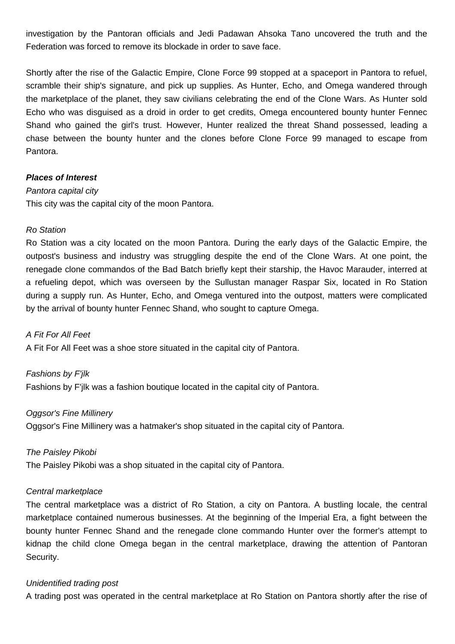investigation by the Pantoran officials and Jedi Padawan Ahsoka Tano uncovered the truth and the Federation was forced to remove its blockade in order to save face.

Shortly after the rise of the Galactic Empire, Clone Force 99 stopped at a spaceport in Pantora to refuel, scramble their ship's signature, and pick up supplies. As Hunter, Echo, and Omega wandered through the marketplace of the planet, they saw civilians celebrating the end of the Clone Wars. As Hunter sold Echo who was disguised as a droid in order to get credits, Omega encountered bounty hunter Fennec Shand who gained the girl's trust. However, Hunter realized the threat Shand possessed, leading a chase between the bounty hunter and the clones before Clone Force 99 managed to escape from Pantora.

#### **Places of Interest**

#### Pantora capital city

This city was the capital city of the moon Pantora.

#### Ro Station

Ro Station was a city located on the moon Pantora. During the early days of the Galactic Empire, the outpost's business and industry was struggling despite the end of the Clone Wars. At one point, the renegade clone commandos of the Bad Batch briefly kept their starship, the Havoc Marauder, interred at a refueling depot, which was overseen by the Sullustan manager Raspar Six, located in Ro Station during a supply run. As Hunter, Echo, and Omega ventured into the outpost, matters were complicated by the arrival of bounty hunter Fennec Shand, who sought to capture Omega.

A Fit For All Feet A Fit For All Feet was a shoe store situated in the capital city of Pantora.

Fashions by F'jlk Fashions by F'jlk was a fashion boutique located in the capital city of Pantora.

#### Oggsor's Fine Millinery

Oggsor's Fine Millinery was a hatmaker's shop situated in the capital city of Pantora.

The Paisley Pikobi The Paisley Pikobi was a shop situated in the capital city of Pantora.

## Central marketplace

The central marketplace was a district of Ro Station, a city on Pantora. A bustling locale, the central marketplace contained numerous businesses. At the beginning of the Imperial Era, a fight between the bounty hunter Fennec Shand and the renegade clone commando Hunter over the former's attempt to kidnap the child clone Omega began in the central marketplace, drawing the attention of Pantoran Security.

## Unidentified trading post

A trading post was operated in the central marketplace at Ro Station on Pantora shortly after the rise of